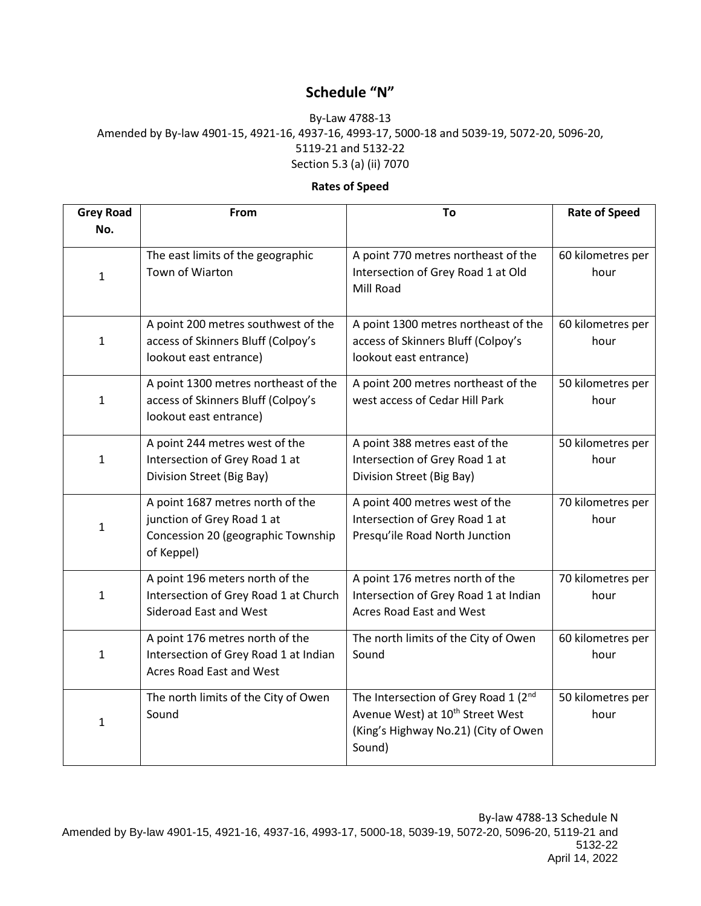## **Schedule "N"**

## By-Law 4788-13 Amended by By-law 4901-15, 4921-16, 4937-16, 4993-17, 5000-18 and 5039-19, 5072-20, 5096-20, 5119-21 and 5132-22 Section 5.3 (a) (ii) 7070

## **Rates of Speed**

| <b>Grey Road</b> | From                                                                                                               | To                                                                                                                                     | <b>Rate of Speed</b>      |
|------------------|--------------------------------------------------------------------------------------------------------------------|----------------------------------------------------------------------------------------------------------------------------------------|---------------------------|
| No.              |                                                                                                                    |                                                                                                                                        |                           |
| $\mathbf{1}$     | The east limits of the geographic<br>Town of Wiarton                                                               | A point 770 metres northeast of the<br>Intersection of Grey Road 1 at Old<br>Mill Road                                                 | 60 kilometres per<br>hour |
| $\mathbf{1}$     | A point 200 metres southwest of the<br>access of Skinners Bluff (Colpoy's<br>lookout east entrance)                | A point 1300 metres northeast of the<br>access of Skinners Bluff (Colpoy's<br>lookout east entrance)                                   | 60 kilometres per<br>hour |
| 1                | A point 1300 metres northeast of the<br>access of Skinners Bluff (Colpoy's<br>lookout east entrance)               | A point 200 metres northeast of the<br>west access of Cedar Hill Park                                                                  | 50 kilometres per<br>hour |
| $\mathbf{1}$     | A point 244 metres west of the<br>Intersection of Grey Road 1 at<br>Division Street (Big Bay)                      | A point 388 metres east of the<br>Intersection of Grey Road 1 at<br>Division Street (Big Bay)                                          | 50 kilometres per<br>hour |
| $\mathbf{1}$     | A point 1687 metres north of the<br>junction of Grey Road 1 at<br>Concession 20 (geographic Township<br>of Keppel) | A point 400 metres west of the<br>Intersection of Grey Road 1 at<br>Presqu'ile Road North Junction                                     | 70 kilometres per<br>hour |
| $\mathbf{1}$     | A point 196 meters north of the<br>Intersection of Grey Road 1 at Church<br>Sideroad East and West                 | A point 176 metres north of the<br>Intersection of Grey Road 1 at Indian<br>Acres Road East and West                                   | 70 kilometres per<br>hour |
| $\mathbf{1}$     | A point 176 metres north of the<br>Intersection of Grey Road 1 at Indian<br>Acres Road East and West               | The north limits of the City of Owen<br>Sound                                                                                          | 60 kilometres per<br>hour |
| 1                | The north limits of the City of Owen<br>Sound                                                                      | The Intersection of Grey Road 1 (2nd<br>Avenue West) at 10 <sup>th</sup> Street West<br>(King's Highway No.21) (City of Owen<br>Sound) | 50 kilometres per<br>hour |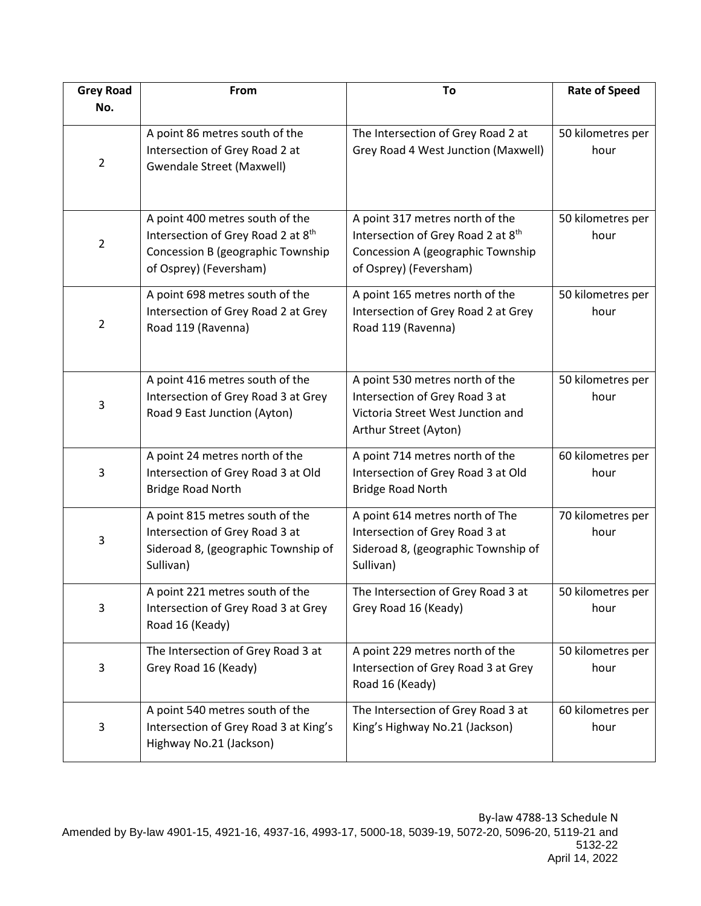| <b>Grey Road</b> | From                                                                                                                                 | To                                                                                                                                   | <b>Rate of Speed</b>      |
|------------------|--------------------------------------------------------------------------------------------------------------------------------------|--------------------------------------------------------------------------------------------------------------------------------------|---------------------------|
| No.              |                                                                                                                                      |                                                                                                                                      |                           |
| $\overline{2}$   | A point 86 metres south of the<br>Intersection of Grey Road 2 at<br><b>Gwendale Street (Maxwell)</b>                                 | The Intersection of Grey Road 2 at<br>Grey Road 4 West Junction (Maxwell)                                                            | 50 kilometres per<br>hour |
| $\overline{2}$   | A point 400 metres south of the<br>Intersection of Grey Road 2 at 8th<br>Concession B (geographic Township<br>of Osprey) (Feversham) | A point 317 metres north of the<br>Intersection of Grey Road 2 at 8th<br>Concession A (geographic Township<br>of Osprey) (Feversham) | 50 kilometres per<br>hour |
| 2                | A point 698 metres south of the<br>Intersection of Grey Road 2 at Grey<br>Road 119 (Ravenna)                                         | A point 165 metres north of the<br>Intersection of Grey Road 2 at Grey<br>Road 119 (Ravenna)                                         | 50 kilometres per<br>hour |
| 3                | A point 416 metres south of the<br>Intersection of Grey Road 3 at Grey<br>Road 9 East Junction (Ayton)                               | A point 530 metres north of the<br>Intersection of Grey Road 3 at<br>Victoria Street West Junction and<br>Arthur Street (Ayton)      | 50 kilometres per<br>hour |
| 3                | A point 24 metres north of the<br>Intersection of Grey Road 3 at Old<br><b>Bridge Road North</b>                                     | A point 714 metres north of the<br>Intersection of Grey Road 3 at Old<br><b>Bridge Road North</b>                                    | 60 kilometres per<br>hour |
| 3                | A point 815 metres south of the<br>Intersection of Grey Road 3 at<br>Sideroad 8, (geographic Township of<br>Sullivan)                | A point 614 metres north of The<br>Intersection of Grey Road 3 at<br>Sideroad 8, (geographic Township of<br>Sullivan)                | 70 kilometres per<br>hour |
| 3                | A point 221 metres south of the<br>Intersection of Grey Road 3 at Grey<br>Road 16 (Keady)                                            | The Intersection of Grey Road 3 at<br>Grey Road 16 (Keady)                                                                           | 50 kilometres per<br>hour |
| 3                | The Intersection of Grey Road 3 at<br>Grey Road 16 (Keady)                                                                           | A point 229 metres north of the<br>Intersection of Grey Road 3 at Grey<br>Road 16 (Keady)                                            | 50 kilometres per<br>hour |
| 3                | A point 540 metres south of the<br>Intersection of Grey Road 3 at King's<br>Highway No.21 (Jackson)                                  | The Intersection of Grey Road 3 at<br>King's Highway No.21 (Jackson)                                                                 | 60 kilometres per<br>hour |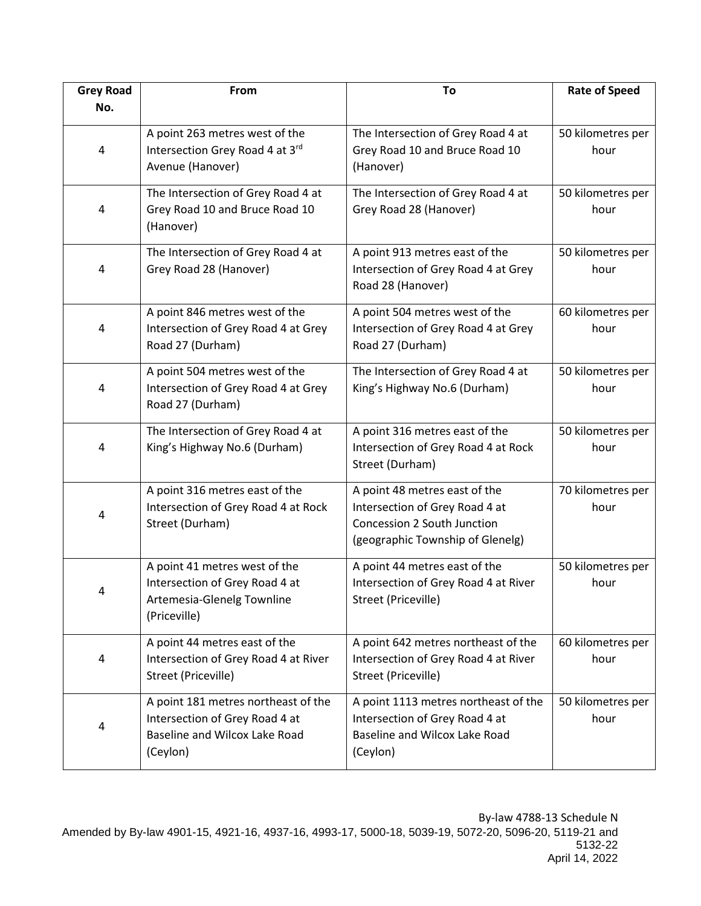| <b>Grey Road</b> | From                                                                                                               | To                                                                                                                                 | <b>Rate of Speed</b>      |
|------------------|--------------------------------------------------------------------------------------------------------------------|------------------------------------------------------------------------------------------------------------------------------------|---------------------------|
| No.              |                                                                                                                    |                                                                                                                                    |                           |
| 4                | A point 263 metres west of the<br>Intersection Grey Road 4 at 3rd<br>Avenue (Hanover)                              | The Intersection of Grey Road 4 at<br>Grey Road 10 and Bruce Road 10<br>(Hanover)                                                  | 50 kilometres per<br>hour |
| 4                | The Intersection of Grey Road 4 at<br>Grey Road 10 and Bruce Road 10<br>(Hanover)                                  | The Intersection of Grey Road 4 at<br>Grey Road 28 (Hanover)                                                                       | 50 kilometres per<br>hour |
| 4                | The Intersection of Grey Road 4 at<br>Grey Road 28 (Hanover)                                                       | A point 913 metres east of the<br>Intersection of Grey Road 4 at Grey<br>Road 28 (Hanover)                                         | 50 kilometres per<br>hour |
| 4                | A point 846 metres west of the<br>Intersection of Grey Road 4 at Grey<br>Road 27 (Durham)                          | A point 504 metres west of the<br>Intersection of Grey Road 4 at Grey<br>Road 27 (Durham)                                          | 60 kilometres per<br>hour |
| 4                | A point 504 metres west of the<br>Intersection of Grey Road 4 at Grey<br>Road 27 (Durham)                          | The Intersection of Grey Road 4 at<br>King's Highway No.6 (Durham)                                                                 | 50 kilometres per<br>hour |
| 4                | The Intersection of Grey Road 4 at<br>King's Highway No.6 (Durham)                                                 | A point 316 metres east of the<br>Intersection of Grey Road 4 at Rock<br>Street (Durham)                                           | 50 kilometres per<br>hour |
| 4                | A point 316 metres east of the<br>Intersection of Grey Road 4 at Rock<br>Street (Durham)                           | A point 48 metres east of the<br>Intersection of Grey Road 4 at<br>Concession 2 South Junction<br>(geographic Township of Glenelg) | 70 kilometres per<br>hour |
| 4                | A point 41 metres west of the<br>Intersection of Grey Road 4 at<br>Artemesia-Glenelg Townline<br>(Priceville)      | A point 44 metres east of the<br>Intersection of Grey Road 4 at River<br>Street (Priceville)                                       | 50 kilometres per<br>hour |
| 4                | A point 44 metres east of the<br>Intersection of Grey Road 4 at River<br>Street (Priceville)                       | A point 642 metres northeast of the<br>Intersection of Grey Road 4 at River<br>Street (Priceville)                                 | 60 kilometres per<br>hour |
| 4                | A point 181 metres northeast of the<br>Intersection of Grey Road 4 at<br>Baseline and Wilcox Lake Road<br>(Ceylon) | A point 1113 metres northeast of the<br>Intersection of Grey Road 4 at<br>Baseline and Wilcox Lake Road<br>(Ceylon)                | 50 kilometres per<br>hour |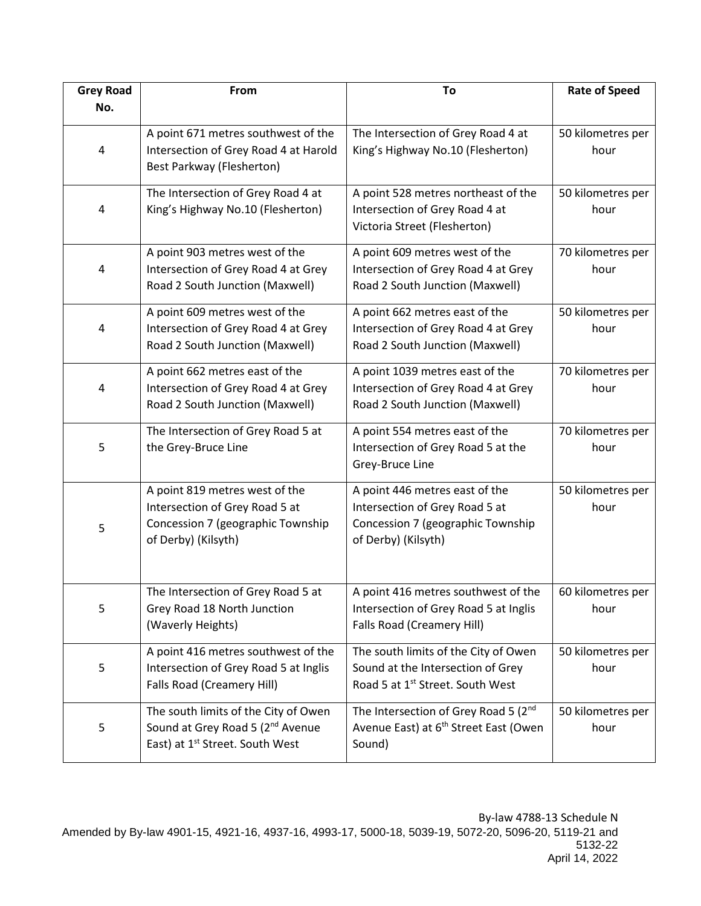| <b>Grey Road</b> | From                                                                                                                                | To                                                                                                                           | <b>Rate of Speed</b>      |
|------------------|-------------------------------------------------------------------------------------------------------------------------------------|------------------------------------------------------------------------------------------------------------------------------|---------------------------|
| No.              |                                                                                                                                     |                                                                                                                              |                           |
| 4                | A point 671 metres southwest of the<br>Intersection of Grey Road 4 at Harold<br>Best Parkway (Flesherton)                           | The Intersection of Grey Road 4 at<br>King's Highway No.10 (Flesherton)                                                      | 50 kilometres per<br>hour |
| 4                | The Intersection of Grey Road 4 at<br>King's Highway No.10 (Flesherton)                                                             | A point 528 metres northeast of the<br>Intersection of Grey Road 4 at<br>Victoria Street (Flesherton)                        | 50 kilometres per<br>hour |
| 4                | A point 903 metres west of the<br>Intersection of Grey Road 4 at Grey<br>Road 2 South Junction (Maxwell)                            | A point 609 metres west of the<br>Intersection of Grey Road 4 at Grey<br>Road 2 South Junction (Maxwell)                     | 70 kilometres per<br>hour |
| 4                | A point 609 metres west of the<br>Intersection of Grey Road 4 at Grey<br>Road 2 South Junction (Maxwell)                            | A point 662 metres east of the<br>Intersection of Grey Road 4 at Grey<br>Road 2 South Junction (Maxwell)                     | 50 kilometres per<br>hour |
| 4                | A point 662 metres east of the<br>Intersection of Grey Road 4 at Grey<br>Road 2 South Junction (Maxwell)                            | A point 1039 metres east of the<br>Intersection of Grey Road 4 at Grey<br>Road 2 South Junction (Maxwell)                    | 70 kilometres per<br>hour |
| 5                | The Intersection of Grey Road 5 at<br>the Grey-Bruce Line                                                                           | A point 554 metres east of the<br>Intersection of Grey Road 5 at the<br>Grey-Bruce Line                                      | 70 kilometres per<br>hour |
| 5                | A point 819 metres west of the<br>Intersection of Grey Road 5 at<br>Concession 7 (geographic Township<br>of Derby) (Kilsyth)        | A point 446 metres east of the<br>Intersection of Grey Road 5 at<br>Concession 7 (geographic Township<br>of Derby) (Kilsyth) | 50 kilometres per<br>hour |
| 5                | The Intersection of Grey Road 5 at<br>Grey Road 18 North Junction<br>(Waverly Heights)                                              | A point 416 metres southwest of the<br>Intersection of Grey Road 5 at Inglis<br>Falls Road (Creamery Hill)                   | 60 kilometres per<br>hour |
| 5                | A point 416 metres southwest of the<br>Intersection of Grey Road 5 at Inglis<br><b>Falls Road (Creamery Hill)</b>                   | The south limits of the City of Owen<br>Sound at the Intersection of Grey<br>Road 5 at 1st Street. South West                | 50 kilometres per<br>hour |
| 5                | The south limits of the City of Owen<br>Sound at Grey Road 5 (2 <sup>nd</sup> Avenue<br>East) at 1 <sup>st</sup> Street. South West | The Intersection of Grey Road 5 (2nd<br>Avenue East) at 6 <sup>th</sup> Street East (Owen<br>Sound)                          | 50 kilometres per<br>hour |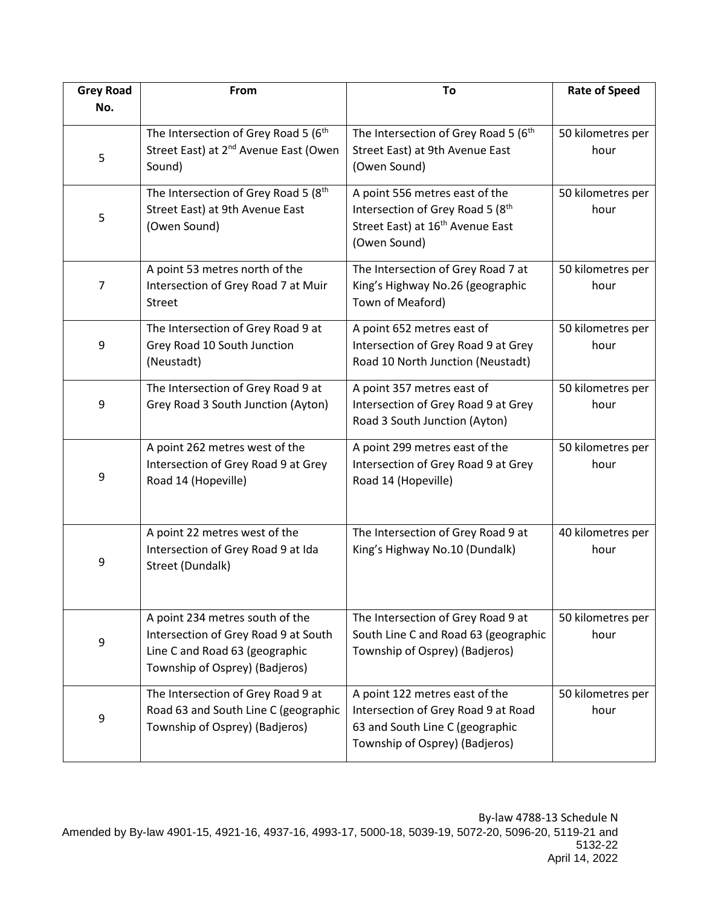| <b>Grey Road</b> | From                                                                                                                                        | To                                                                                                                                         | <b>Rate of Speed</b>      |
|------------------|---------------------------------------------------------------------------------------------------------------------------------------------|--------------------------------------------------------------------------------------------------------------------------------------------|---------------------------|
| No.              |                                                                                                                                             |                                                                                                                                            |                           |
| 5                | The Intersection of Grey Road 5 (6 <sup>th</sup><br>Street East) at 2 <sup>nd</sup> Avenue East (Owen<br>Sound)                             | The Intersection of Grey Road 5 (6 <sup>th</sup><br>Street East) at 9th Avenue East<br>(Owen Sound)                                        | 50 kilometres per<br>hour |
| 5                | The Intersection of Grey Road 5 (8th<br>Street East) at 9th Avenue East<br>(Owen Sound)                                                     | A point 556 metres east of the<br>Intersection of Grey Road 5 (8th<br>Street East) at 16 <sup>th</sup> Avenue East<br>(Owen Sound)         | 50 kilometres per<br>hour |
| 7                | A point 53 metres north of the<br>Intersection of Grey Road 7 at Muir<br><b>Street</b>                                                      | The Intersection of Grey Road 7 at<br>King's Highway No.26 (geographic<br>Town of Meaford)                                                 | 50 kilometres per<br>hour |
| 9                | The Intersection of Grey Road 9 at<br>Grey Road 10 South Junction<br>(Neustadt)                                                             | A point 652 metres east of<br>Intersection of Grey Road 9 at Grey<br>Road 10 North Junction (Neustadt)                                     | 50 kilometres per<br>hour |
| 9                | The Intersection of Grey Road 9 at<br>Grey Road 3 South Junction (Ayton)                                                                    | A point 357 metres east of<br>Intersection of Grey Road 9 at Grey<br>Road 3 South Junction (Ayton)                                         | 50 kilometres per<br>hour |
| 9                | A point 262 metres west of the<br>Intersection of Grey Road 9 at Grey<br>Road 14 (Hopeville)                                                | A point 299 metres east of the<br>Intersection of Grey Road 9 at Grey<br>Road 14 (Hopeville)                                               | 50 kilometres per<br>hour |
| 9                | A point 22 metres west of the<br>Intersection of Grey Road 9 at Ida<br>Street (Dundalk)                                                     | The Intersection of Grey Road 9 at<br>King's Highway No.10 (Dundalk)                                                                       | 40 kilometres per<br>hour |
| 9                | A point 234 metres south of the<br>Intersection of Grey Road 9 at South<br>Line C and Road 63 (geographic<br>Township of Osprey) (Badjeros) | The Intersection of Grey Road 9 at<br>South Line C and Road 63 (geographic<br>Township of Osprey) (Badjeros)                               | 50 kilometres per<br>hour |
| 9                | The Intersection of Grey Road 9 at<br>Road 63 and South Line C (geographic<br>Township of Osprey) (Badjeros)                                | A point 122 metres east of the<br>Intersection of Grey Road 9 at Road<br>63 and South Line C (geographic<br>Township of Osprey) (Badjeros) | 50 kilometres per<br>hour |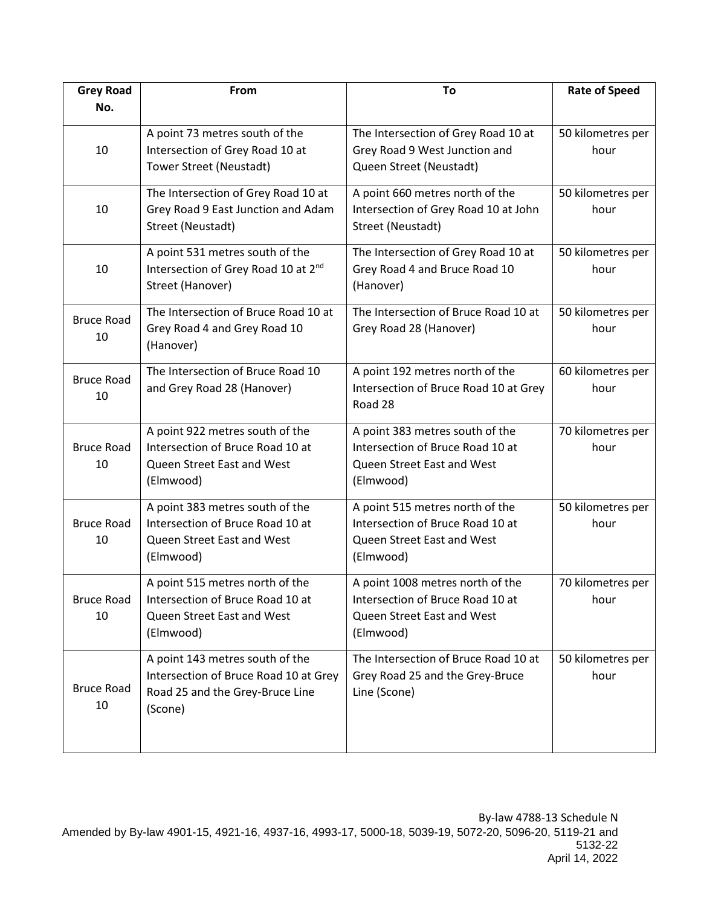| <b>Grey Road</b>        | From                                                                                                                   | To                                                                                                              | <b>Rate of Speed</b>      |
|-------------------------|------------------------------------------------------------------------------------------------------------------------|-----------------------------------------------------------------------------------------------------------------|---------------------------|
| No.                     |                                                                                                                        |                                                                                                                 |                           |
| 10                      | A point 73 metres south of the<br>Intersection of Grey Road 10 at<br>Tower Street (Neustadt)                           | The Intersection of Grey Road 10 at<br>Grey Road 9 West Junction and<br>Queen Street (Neustadt)                 | 50 kilometres per<br>hour |
| 10                      | The Intersection of Grey Road 10 at<br>Grey Road 9 East Junction and Adam<br>Street (Neustadt)                         | A point 660 metres north of the<br>Intersection of Grey Road 10 at John<br>Street (Neustadt)                    | 50 kilometres per<br>hour |
| 10                      | A point 531 metres south of the<br>Intersection of Grey Road 10 at 2nd<br>Street (Hanover)                             | The Intersection of Grey Road 10 at<br>Grey Road 4 and Bruce Road 10<br>(Hanover)                               | 50 kilometres per<br>hour |
| <b>Bruce Road</b><br>10 | The Intersection of Bruce Road 10 at<br>Grey Road 4 and Grey Road 10<br>(Hanover)                                      | The Intersection of Bruce Road 10 at<br>Grey Road 28 (Hanover)                                                  | 50 kilometres per<br>hour |
| <b>Bruce Road</b><br>10 | The Intersection of Bruce Road 10<br>and Grey Road 28 (Hanover)                                                        | A point 192 metres north of the<br>Intersection of Bruce Road 10 at Grey<br>Road 28                             | 60 kilometres per<br>hour |
| <b>Bruce Road</b><br>10 | A point 922 metres south of the<br>Intersection of Bruce Road 10 at<br>Queen Street East and West<br>(Elmwood)         | A point 383 metres south of the<br>Intersection of Bruce Road 10 at<br>Queen Street East and West<br>(Elmwood)  | 70 kilometres per<br>hour |
| <b>Bruce Road</b><br>10 | A point 383 metres south of the<br>Intersection of Bruce Road 10 at<br>Queen Street East and West<br>(Elmwood)         | A point 515 metres north of the<br>Intersection of Bruce Road 10 at<br>Queen Street East and West<br>(Elmwood)  | 50 kilometres per<br>hour |
| <b>Bruce Road</b><br>10 | A point 515 metres north of the<br>Intersection of Bruce Road 10 at<br>Queen Street East and West<br>(Elmwood)         | A point 1008 metres north of the<br>Intersection of Bruce Road 10 at<br>Queen Street East and West<br>(Elmwood) | 70 kilometres per<br>hour |
| <b>Bruce Road</b><br>10 | A point 143 metres south of the<br>Intersection of Bruce Road 10 at Grey<br>Road 25 and the Grey-Bruce Line<br>(Scone) | The Intersection of Bruce Road 10 at<br>Grey Road 25 and the Grey-Bruce<br>Line (Scone)                         | 50 kilometres per<br>hour |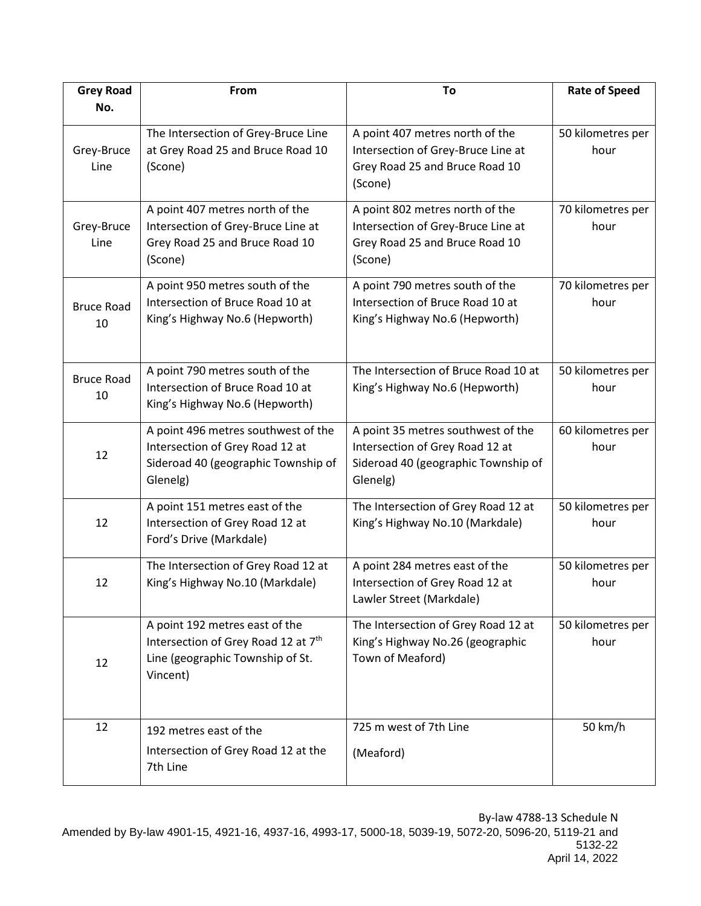| <b>Grey Road</b>        | From                                                                                                                              | To                                                                                                                       | <b>Rate of Speed</b>      |
|-------------------------|-----------------------------------------------------------------------------------------------------------------------------------|--------------------------------------------------------------------------------------------------------------------------|---------------------------|
| No.                     |                                                                                                                                   |                                                                                                                          |                           |
| Grey-Bruce<br>Line      | The Intersection of Grey-Bruce Line<br>at Grey Road 25 and Bruce Road 10<br>(Scone)                                               | A point 407 metres north of the<br>Intersection of Grey-Bruce Line at<br>Grey Road 25 and Bruce Road 10<br>(Scone)       | 50 kilometres per<br>hour |
| Grey-Bruce<br>Line      | A point 407 metres north of the<br>Intersection of Grey-Bruce Line at<br>Grey Road 25 and Bruce Road 10<br>(Scone)                | A point 802 metres north of the<br>Intersection of Grey-Bruce Line at<br>Grey Road 25 and Bruce Road 10<br>(Scone)       | 70 kilometres per<br>hour |
| <b>Bruce Road</b><br>10 | A point 950 metres south of the<br>Intersection of Bruce Road 10 at<br>King's Highway No.6 (Hepworth)                             | A point 790 metres south of the<br>Intersection of Bruce Road 10 at<br>King's Highway No.6 (Hepworth)                    | 70 kilometres per<br>hour |
| <b>Bruce Road</b><br>10 | A point 790 metres south of the<br>Intersection of Bruce Road 10 at<br>King's Highway No.6 (Hepworth)                             | The Intersection of Bruce Road 10 at<br>King's Highway No.6 (Hepworth)                                                   | 50 kilometres per<br>hour |
| 12                      | A point 496 metres southwest of the<br>Intersection of Grey Road 12 at<br>Sideroad 40 (geographic Township of<br>Glenelg)         | A point 35 metres southwest of the<br>Intersection of Grey Road 12 at<br>Sideroad 40 (geographic Township of<br>Glenelg) | 60 kilometres per<br>hour |
| 12                      | A point 151 metres east of the<br>Intersection of Grey Road 12 at<br>Ford's Drive (Markdale)                                      | The Intersection of Grey Road 12 at<br>King's Highway No.10 (Markdale)                                                   | 50 kilometres per<br>hour |
| 12                      | The Intersection of Grey Road 12 at<br>King's Highway No.10 (Markdale)                                                            | A point 284 metres east of the<br>Intersection of Grey Road 12 at<br>Lawler Street (Markdale)                            | 50 kilometres per<br>hour |
| 12                      | A point 192 metres east of the<br>Intersection of Grey Road 12 at 7 <sup>th</sup><br>Line (geographic Township of St.<br>Vincent) | The Intersection of Grey Road 12 at<br>King's Highway No.26 (geographic<br>Town of Meaford)                              | 50 kilometres per<br>hour |
| 12                      | 192 metres east of the<br>Intersection of Grey Road 12 at the<br>7th Line                                                         | 725 m west of 7th Line<br>(Meaford)                                                                                      | 50 km/h                   |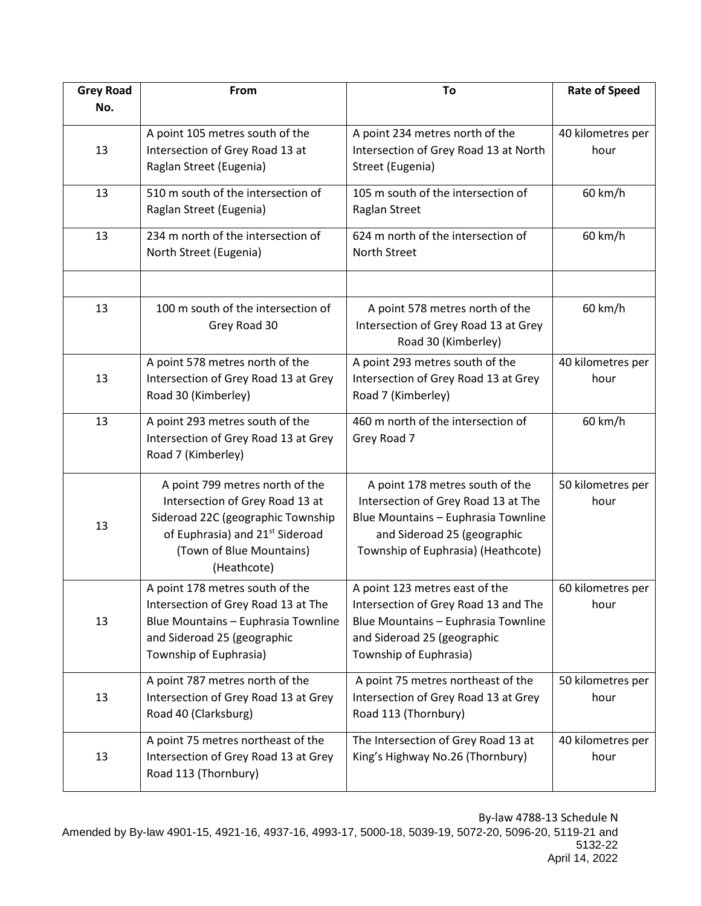| <b>Grey Road</b> | From                                                                                                                                                                                              | To                                                                                                                                                                                 | <b>Rate of Speed</b>      |
|------------------|---------------------------------------------------------------------------------------------------------------------------------------------------------------------------------------------------|------------------------------------------------------------------------------------------------------------------------------------------------------------------------------------|---------------------------|
| No.              |                                                                                                                                                                                                   |                                                                                                                                                                                    |                           |
| 13               | A point 105 metres south of the<br>Intersection of Grey Road 13 at<br>Raglan Street (Eugenia)                                                                                                     | A point 234 metres north of the<br>Intersection of Grey Road 13 at North<br>Street (Eugenia)                                                                                       | 40 kilometres per<br>hour |
| 13               | 510 m south of the intersection of<br>Raglan Street (Eugenia)                                                                                                                                     | 105 m south of the intersection of<br>Raglan Street                                                                                                                                | 60 km/h                   |
| 13               | 234 m north of the intersection of<br>North Street (Eugenia)                                                                                                                                      | 624 m north of the intersection of<br><b>North Street</b>                                                                                                                          | 60 km/h                   |
| 13               | 100 m south of the intersection of<br>Grey Road 30                                                                                                                                                | A point 578 metres north of the<br>Intersection of Grey Road 13 at Grey<br>Road 30 (Kimberley)                                                                                     | 60 km/h                   |
| 13               | A point 578 metres north of the<br>Intersection of Grey Road 13 at Grey<br>Road 30 (Kimberley)                                                                                                    | A point 293 metres south of the<br>Intersection of Grey Road 13 at Grey<br>Road 7 (Kimberley)                                                                                      | 40 kilometres per<br>hour |
| 13               | A point 293 metres south of the<br>Intersection of Grey Road 13 at Grey<br>Road 7 (Kimberley)                                                                                                     | 460 m north of the intersection of<br>Grey Road 7                                                                                                                                  | 60 km/h                   |
| 13               | A point 799 metres north of the<br>Intersection of Grey Road 13 at<br>Sideroad 22C (geographic Township<br>of Euphrasia) and 21 <sup>st</sup> Sideroad<br>(Town of Blue Mountains)<br>(Heathcote) | A point 178 metres south of the<br>Intersection of Grey Road 13 at The<br>Blue Mountains - Euphrasia Townline<br>and Sideroad 25 (geographic<br>Township of Euphrasia) (Heathcote) | 50 kilometres per<br>hour |
| 13               | A point 178 metres south of the<br>Intersection of Grey Road 13 at The<br>Blue Mountains - Euphrasia Townline<br>and Sideroad 25 (geographic<br>Township of Euphrasia)                            | A point 123 metres east of the<br>Intersection of Grey Road 13 and The<br>Blue Mountains - Euphrasia Townline<br>and Sideroad 25 (geographic<br>Township of Euphrasia)             | 60 kilometres per<br>hour |
| 13               | A point 787 metres north of the<br>Intersection of Grey Road 13 at Grey<br>Road 40 (Clarksburg)                                                                                                   | A point 75 metres northeast of the<br>Intersection of Grey Road 13 at Grey<br>Road 113 (Thornbury)                                                                                 | 50 kilometres per<br>hour |
| 13               | A point 75 metres northeast of the<br>Intersection of Grey Road 13 at Grey<br>Road 113 (Thornbury)                                                                                                | The Intersection of Grey Road 13 at<br>King's Highway No.26 (Thornbury)                                                                                                            | 40 kilometres per<br>hour |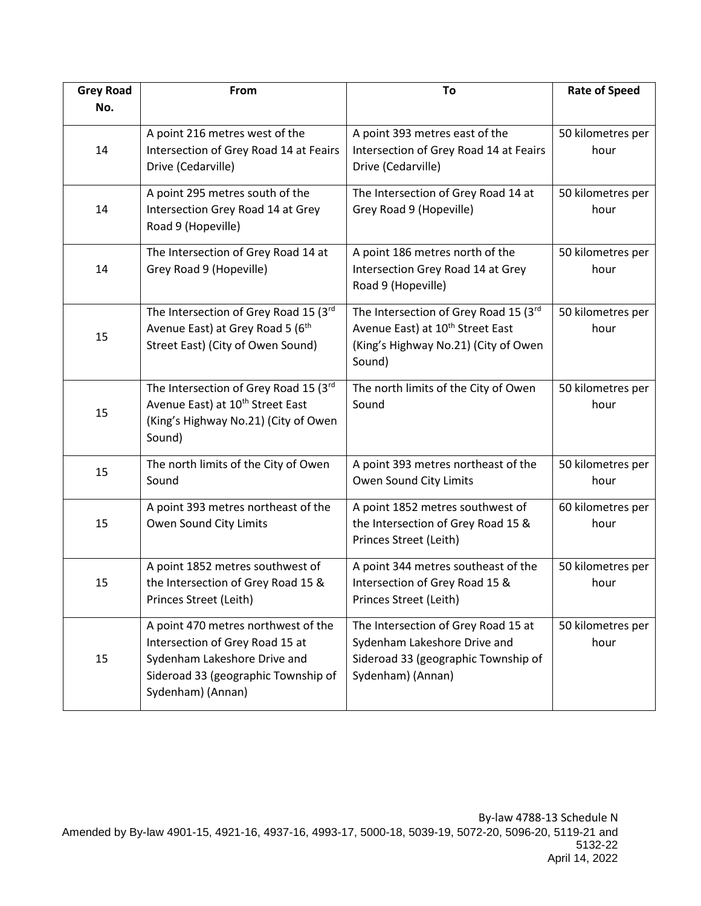| <b>Grey Road</b> | From                                                                                                                                                               | To                                                                                                                                      | <b>Rate of Speed</b>      |
|------------------|--------------------------------------------------------------------------------------------------------------------------------------------------------------------|-----------------------------------------------------------------------------------------------------------------------------------------|---------------------------|
| No.              |                                                                                                                                                                    |                                                                                                                                         |                           |
| 14               | A point 216 metres west of the<br>Intersection of Grey Road 14 at Feairs<br>Drive (Cedarville)                                                                     | A point 393 metres east of the<br>Intersection of Grey Road 14 at Feairs<br>Drive (Cedarville)                                          | 50 kilometres per<br>hour |
| 14               | A point 295 metres south of the<br>Intersection Grey Road 14 at Grey<br>Road 9 (Hopeville)                                                                         | The Intersection of Grey Road 14 at<br>Grey Road 9 (Hopeville)                                                                          | 50 kilometres per<br>hour |
| 14               | The Intersection of Grey Road 14 at<br>Grey Road 9 (Hopeville)                                                                                                     | A point 186 metres north of the<br>Intersection Grey Road 14 at Grey<br>Road 9 (Hopeville)                                              | 50 kilometres per<br>hour |
| 15               | The Intersection of Grey Road 15 (3rd<br>Avenue East) at Grey Road 5 (6th<br>Street East) (City of Owen Sound)                                                     | The Intersection of Grey Road 15 (3rd<br>Avenue East) at 10 <sup>th</sup> Street East<br>(King's Highway No.21) (City of Owen<br>Sound) | 50 kilometres per<br>hour |
| 15               | The Intersection of Grey Road 15 (3rd<br>Avenue East) at 10 <sup>th</sup> Street East<br>(King's Highway No.21) (City of Owen<br>Sound)                            | The north limits of the City of Owen<br>Sound                                                                                           | 50 kilometres per<br>hour |
| 15               | The north limits of the City of Owen<br>Sound                                                                                                                      | A point 393 metres northeast of the<br>Owen Sound City Limits                                                                           | 50 kilometres per<br>hour |
| 15               | A point 393 metres northeast of the<br>Owen Sound City Limits                                                                                                      | A point 1852 metres southwest of<br>the Intersection of Grey Road 15 &<br>Princes Street (Leith)                                        | 60 kilometres per<br>hour |
| 15               | A point 1852 metres southwest of<br>the Intersection of Grey Road 15 &<br>Princes Street (Leith)                                                                   | A point 344 metres southeast of the<br>Intersection of Grey Road 15 &<br>Princes Street (Leith)                                         | 50 kilometres per<br>hour |
| 15               | A point 470 metres northwest of the<br>Intersection of Grey Road 15 at<br>Sydenham Lakeshore Drive and<br>Sideroad 33 (geographic Township of<br>Sydenham) (Annan) | The Intersection of Grey Road 15 at<br>Sydenham Lakeshore Drive and<br>Sideroad 33 (geographic Township of<br>Sydenham) (Annan)         | 50 kilometres per<br>hour |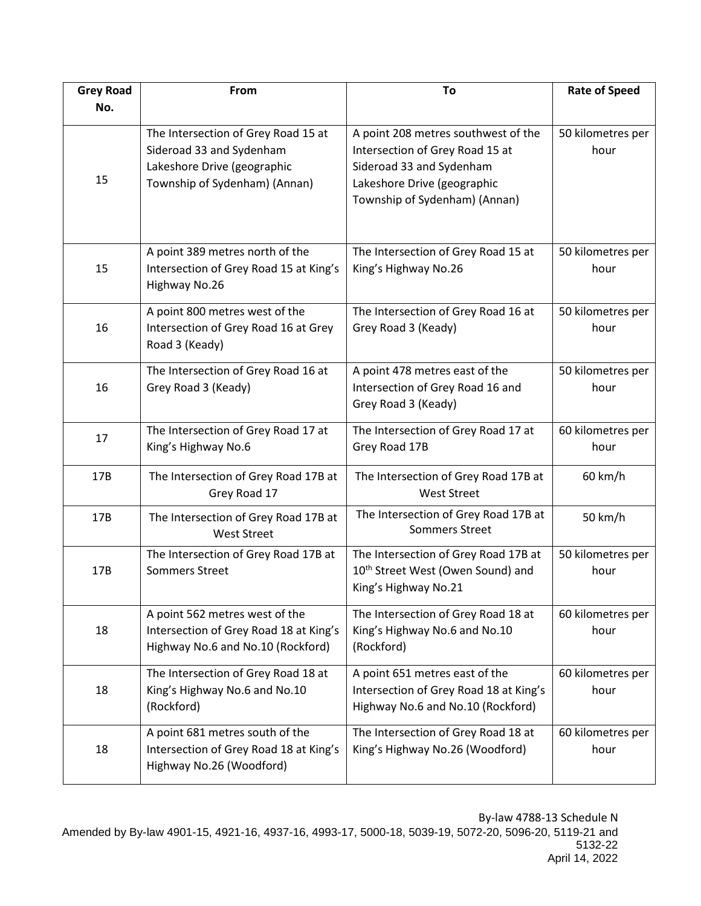| <b>Grey Road</b> | From                                                               | To                                                                     | <b>Rate of Speed</b>      |
|------------------|--------------------------------------------------------------------|------------------------------------------------------------------------|---------------------------|
| No.              |                                                                    |                                                                        |                           |
|                  | The Intersection of Grey Road 15 at<br>Sideroad 33 and Sydenham    | A point 208 metres southwest of the<br>Intersection of Grey Road 15 at | 50 kilometres per<br>hour |
|                  | Lakeshore Drive (geographic                                        | Sideroad 33 and Sydenham                                               |                           |
| 15               | Township of Sydenham) (Annan)                                      | Lakeshore Drive (geographic                                            |                           |
|                  |                                                                    | Township of Sydenham) (Annan)                                          |                           |
|                  |                                                                    |                                                                        |                           |
|                  | A point 389 metres north of the                                    | The Intersection of Grey Road 15 at                                    | 50 kilometres per         |
| 15               | Intersection of Grey Road 15 at King's<br>Highway No.26            | King's Highway No.26                                                   | hour                      |
|                  | A point 800 metres west of the                                     | The Intersection of Grey Road 16 at                                    | 50 kilometres per         |
| 16               | Intersection of Grey Road 16 at Grey                               | Grey Road 3 (Keady)                                                    | hour                      |
|                  | Road 3 (Keady)                                                     |                                                                        |                           |
|                  | The Intersection of Grey Road 16 at                                | A point 478 metres east of the                                         | 50 kilometres per         |
| 16               | Grey Road 3 (Keady)                                                | Intersection of Grey Road 16 and                                       | hour                      |
|                  |                                                                    | Grey Road 3 (Keady)                                                    |                           |
| 17               | The Intersection of Grey Road 17 at                                | The Intersection of Grey Road 17 at                                    | 60 kilometres per         |
|                  | King's Highway No.6                                                | Grey Road 17B                                                          | hour                      |
| 17B              | The Intersection of Grey Road 17B at                               | The Intersection of Grey Road 17B at                                   | 60 km/h                   |
|                  | Grey Road 17                                                       | <b>West Street</b>                                                     |                           |
| 17B              | The Intersection of Grey Road 17B at<br><b>West Street</b>         | The Intersection of Grey Road 17B at<br><b>Sommers Street</b>          | 50 km/h                   |
|                  | The Intersection of Grey Road 17B at                               | The Intersection of Grey Road 17B at                                   | 50 kilometres per         |
| 17B              | <b>Sommers Street</b>                                              | 10 <sup>th</sup> Street West (Owen Sound) and                          | hour                      |
|                  |                                                                    | King's Highway No.21                                                   |                           |
|                  | A point 562 metres west of the                                     | The Intersection of Grey Road 18 at                                    | 60 kilometres per         |
| 18               | Intersection of Grey Road 18 at King's                             | King's Highway No.6 and No.10                                          | hour                      |
|                  | Highway No.6 and No.10 (Rockford)                                  | (Rockford)                                                             |                           |
|                  | The Intersection of Grey Road 18 at                                | A point 651 metres east of the                                         | 60 kilometres per         |
| 18               | King's Highway No.6 and No.10                                      | Intersection of Grey Road 18 at King's                                 | hour                      |
|                  | (Rockford)                                                         | Highway No.6 and No.10 (Rockford)                                      |                           |
|                  | A point 681 metres south of the                                    | The Intersection of Grey Road 18 at                                    | 60 kilometres per         |
| 18               | Intersection of Grey Road 18 at King's<br>Highway No.26 (Woodford) | King's Highway No.26 (Woodford)                                        | hour                      |
|                  |                                                                    |                                                                        |                           |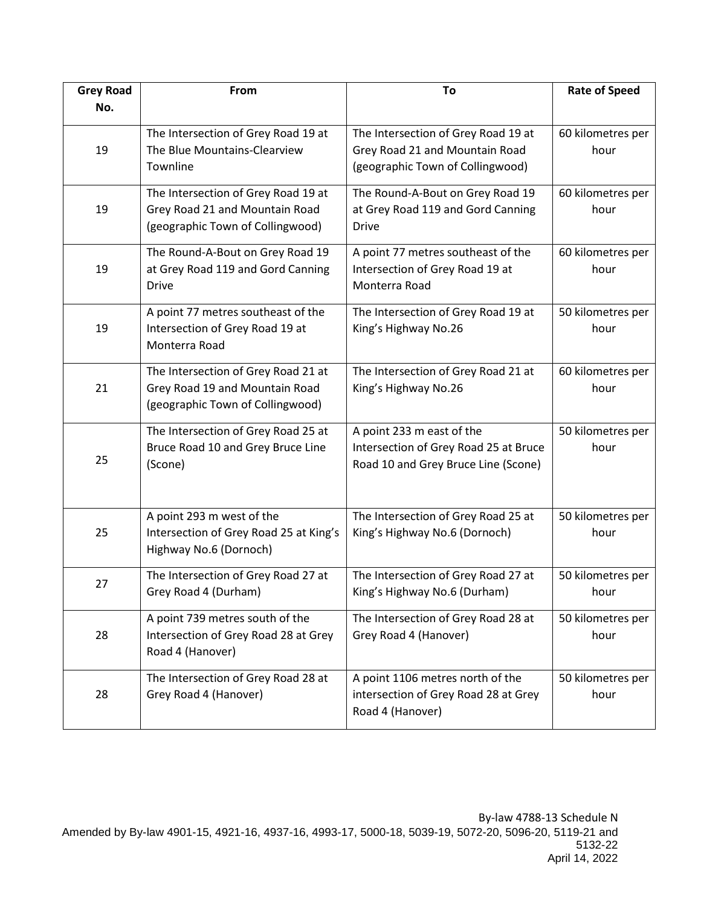| <b>Grey Road</b> | From                                                                                                      | To                                                                                                        | <b>Rate of Speed</b>      |
|------------------|-----------------------------------------------------------------------------------------------------------|-----------------------------------------------------------------------------------------------------------|---------------------------|
| No.              |                                                                                                           |                                                                                                           |                           |
| 19               | The Intersection of Grey Road 19 at<br>The Blue Mountains-Clearview<br>Townline                           | The Intersection of Grey Road 19 at<br>Grey Road 21 and Mountain Road<br>(geographic Town of Collingwood) | 60 kilometres per<br>hour |
| 19               | The Intersection of Grey Road 19 at<br>Grey Road 21 and Mountain Road<br>(geographic Town of Collingwood) | The Round-A-Bout on Grey Road 19<br>at Grey Road 119 and Gord Canning<br><b>Drive</b>                     | 60 kilometres per<br>hour |
| 19               | The Round-A-Bout on Grey Road 19<br>at Grey Road 119 and Gord Canning<br><b>Drive</b>                     | A point 77 metres southeast of the<br>Intersection of Grey Road 19 at<br>Monterra Road                    | 60 kilometres per<br>hour |
| 19               | A point 77 metres southeast of the<br>Intersection of Grey Road 19 at<br>Monterra Road                    | The Intersection of Grey Road 19 at<br>King's Highway No.26                                               | 50 kilometres per<br>hour |
| 21               | The Intersection of Grey Road 21 at<br>Grey Road 19 and Mountain Road<br>(geographic Town of Collingwood) | The Intersection of Grey Road 21 at<br>King's Highway No.26                                               | 60 kilometres per<br>hour |
| 25               | The Intersection of Grey Road 25 at<br>Bruce Road 10 and Grey Bruce Line<br>(Scone)                       | A point 233 m east of the<br>Intersection of Grey Road 25 at Bruce<br>Road 10 and Grey Bruce Line (Scone) | 50 kilometres per<br>hour |
| 25               | A point 293 m west of the<br>Intersection of Grey Road 25 at King's<br>Highway No.6 (Dornoch)             | The Intersection of Grey Road 25 at<br>King's Highway No.6 (Dornoch)                                      | 50 kilometres per<br>hour |
| 27               | The Intersection of Grey Road 27 at<br>Grey Road 4 (Durham)                                               | The Intersection of Grey Road 27 at<br>King's Highway No.6 (Durham)                                       | 50 kilometres per<br>hour |
| 28               | A point 739 metres south of the<br>Intersection of Grey Road 28 at Grey<br>Road 4 (Hanover)               | The Intersection of Grey Road 28 at<br>Grey Road 4 (Hanover)                                              | 50 kilometres per<br>hour |
| 28               | The Intersection of Grey Road 28 at<br>Grey Road 4 (Hanover)                                              | A point 1106 metres north of the<br>intersection of Grey Road 28 at Grey<br>Road 4 (Hanover)              | 50 kilometres per<br>hour |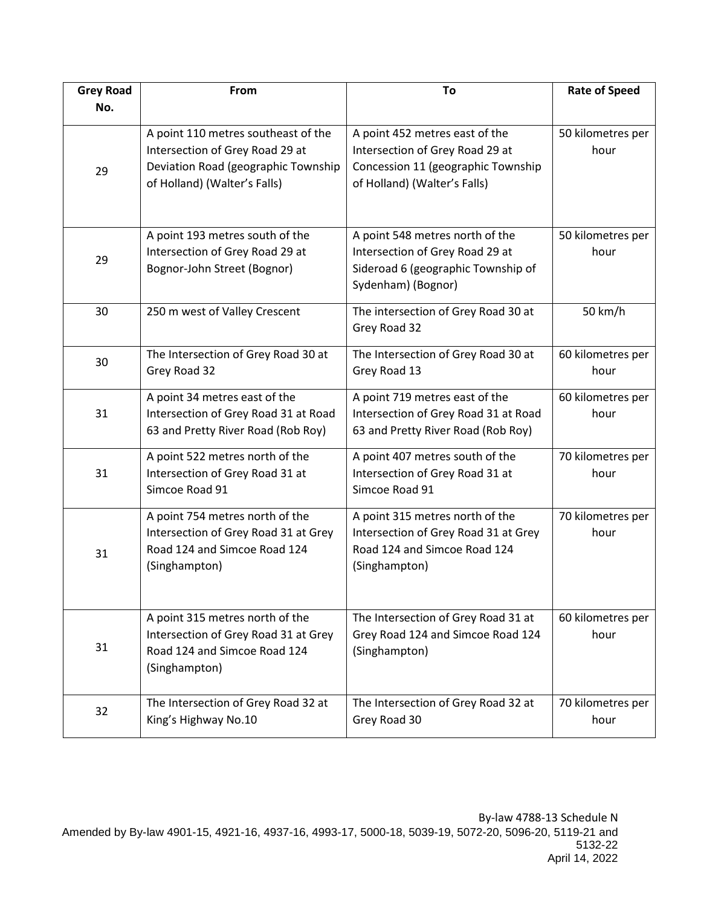| <b>Grey Road</b> | From                                                                                                                                          | To                                                                                                                                      | <b>Rate of Speed</b>      |
|------------------|-----------------------------------------------------------------------------------------------------------------------------------------------|-----------------------------------------------------------------------------------------------------------------------------------------|---------------------------|
| No.              |                                                                                                                                               |                                                                                                                                         |                           |
| 29               | A point 110 metres southeast of the<br>Intersection of Grey Road 29 at<br>Deviation Road (geographic Township<br>of Holland) (Walter's Falls) | A point 452 metres east of the<br>Intersection of Grey Road 29 at<br>Concession 11 (geographic Township<br>of Holland) (Walter's Falls) | 50 kilometres per<br>hour |
| 29               | A point 193 metres south of the<br>Intersection of Grey Road 29 at<br>Bognor-John Street (Bognor)                                             | A point 548 metres north of the<br>Intersection of Grey Road 29 at<br>Sideroad 6 (geographic Township of<br>Sydenham) (Bognor)          | 50 kilometres per<br>hour |
| 30               | 250 m west of Valley Crescent                                                                                                                 | The intersection of Grey Road 30 at<br>Grey Road 32                                                                                     | 50 km/h                   |
| 30               | The Intersection of Grey Road 30 at<br>Grey Road 32                                                                                           | The Intersection of Grey Road 30 at<br>Grey Road 13                                                                                     | 60 kilometres per<br>hour |
| 31               | A point 34 metres east of the<br>Intersection of Grey Road 31 at Road<br>63 and Pretty River Road (Rob Roy)                                   | A point 719 metres east of the<br>Intersection of Grey Road 31 at Road<br>63 and Pretty River Road (Rob Roy)                            | 60 kilometres per<br>hour |
| 31               | A point 522 metres north of the<br>Intersection of Grey Road 31 at<br>Simcoe Road 91                                                          | A point 407 metres south of the<br>Intersection of Grey Road 31 at<br>Simcoe Road 91                                                    | 70 kilometres per<br>hour |
| 31               | A point 754 metres north of the<br>Intersection of Grey Road 31 at Grey<br>Road 124 and Simcoe Road 124<br>(Singhampton)                      | A point 315 metres north of the<br>Intersection of Grey Road 31 at Grey<br>Road 124 and Simcoe Road 124<br>(Singhampton)                | 70 kilometres per<br>hour |
| 31               | A point 315 metres north of the<br>Intersection of Grey Road 31 at Grey<br>Road 124 and Simcoe Road 124<br>(Singhampton)                      | The Intersection of Grey Road 31 at<br>Grey Road 124 and Simcoe Road 124<br>(Singhampton)                                               | 60 kilometres per<br>hour |
| 32               | The Intersection of Grey Road 32 at<br>King's Highway No.10                                                                                   | The Intersection of Grey Road 32 at<br>Grey Road 30                                                                                     | 70 kilometres per<br>hour |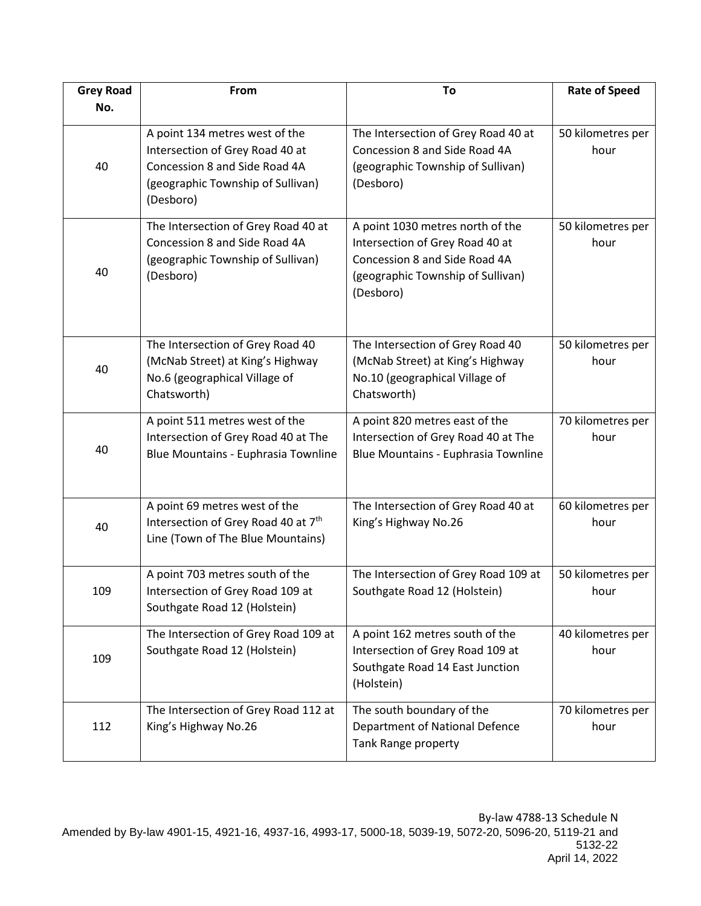| <b>Grey Road</b> | From                                                                                                                                                 | To                                                                                                                                                     | <b>Rate of Speed</b>      |
|------------------|------------------------------------------------------------------------------------------------------------------------------------------------------|--------------------------------------------------------------------------------------------------------------------------------------------------------|---------------------------|
| No.              |                                                                                                                                                      |                                                                                                                                                        |                           |
| 40               | A point 134 metres west of the<br>Intersection of Grey Road 40 at<br>Concession 8 and Side Road 4A<br>(geographic Township of Sullivan)<br>(Desboro) | The Intersection of Grey Road 40 at<br>Concession 8 and Side Road 4A<br>(geographic Township of Sullivan)<br>(Desboro)                                 | 50 kilometres per<br>hour |
| 40               | The Intersection of Grey Road 40 at<br>Concession 8 and Side Road 4A<br>(geographic Township of Sullivan)<br>(Desboro)                               | A point 1030 metres north of the<br>Intersection of Grey Road 40 at<br>Concession 8 and Side Road 4A<br>(geographic Township of Sullivan)<br>(Desboro) | 50 kilometres per<br>hour |
| 40               | The Intersection of Grey Road 40<br>(McNab Street) at King's Highway<br>No.6 (geographical Village of<br>Chatsworth)                                 | The Intersection of Grey Road 40<br>(McNab Street) at King's Highway<br>No.10 (geographical Village of<br>Chatsworth)                                  | 50 kilometres per<br>hour |
| 40               | A point 511 metres west of the<br>Intersection of Grey Road 40 at The<br>Blue Mountains - Euphrasia Townline                                         | A point 820 metres east of the<br>Intersection of Grey Road 40 at The<br>Blue Mountains - Euphrasia Townline                                           | 70 kilometres per<br>hour |
| 40               | A point 69 metres west of the<br>Intersection of Grey Road 40 at 7th<br>Line (Town of The Blue Mountains)                                            | The Intersection of Grey Road 40 at<br>King's Highway No.26                                                                                            | 60 kilometres per<br>hour |
| 109              | A point 703 metres south of the<br>Intersection of Grey Road 109 at<br>Southgate Road 12 (Holstein)                                                  | The Intersection of Grey Road 109 at<br>Southgate Road 12 (Holstein)                                                                                   | 50 kilometres per<br>hour |
| 109              | The Intersection of Grey Road 109 at<br>Southgate Road 12 (Holstein)                                                                                 | A point 162 metres south of the<br>Intersection of Grey Road 109 at<br>Southgate Road 14 East Junction<br>(Holstein)                                   | 40 kilometres per<br>hour |
| 112              | The Intersection of Grey Road 112 at<br>King's Highway No.26                                                                                         | The south boundary of the<br>Department of National Defence<br>Tank Range property                                                                     | 70 kilometres per<br>hour |